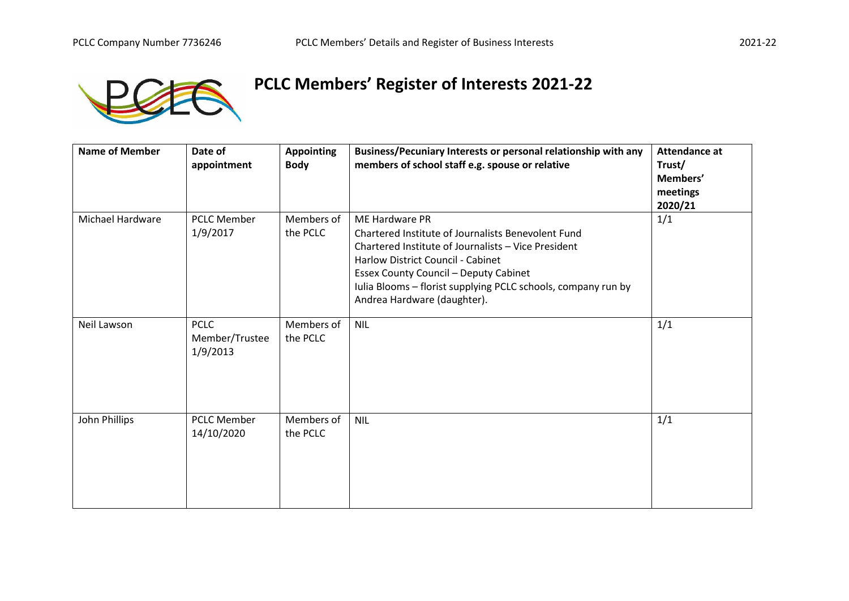

## **PCLC Members' Register of Interests 2021-22**

| <b>Name of Member</b>   | Date of<br>appointment                    | <b>Appointing</b><br><b>Body</b> | Business/Pecuniary Interests or personal relationship with any<br>members of school staff e.g. spouse or relative                                                                                                                                                                                                | <b>Attendance at</b><br>Trust/<br>Members'<br>meetings<br>2020/21 |
|-------------------------|-------------------------------------------|----------------------------------|------------------------------------------------------------------------------------------------------------------------------------------------------------------------------------------------------------------------------------------------------------------------------------------------------------------|-------------------------------------------------------------------|
| <b>Michael Hardware</b> | <b>PCLC Member</b><br>1/9/2017            | Members of<br>the PCLC           | ME Hardware PR<br>Chartered Institute of Journalists Benevolent Fund<br>Chartered Institute of Journalists - Vice President<br>Harlow District Council - Cabinet<br><b>Essex County Council - Deputy Cabinet</b><br>Iulia Blooms - florist supplying PCLC schools, company run by<br>Andrea Hardware (daughter). | 1/1                                                               |
| Neil Lawson             | <b>PCLC</b><br>Member/Trustee<br>1/9/2013 | Members of<br>the PCLC           | <b>NIL</b>                                                                                                                                                                                                                                                                                                       | 1/1                                                               |
| John Phillips           | <b>PCLC Member</b><br>14/10/2020          | Members of<br>the PCLC           | <b>NIL</b>                                                                                                                                                                                                                                                                                                       | 1/1                                                               |